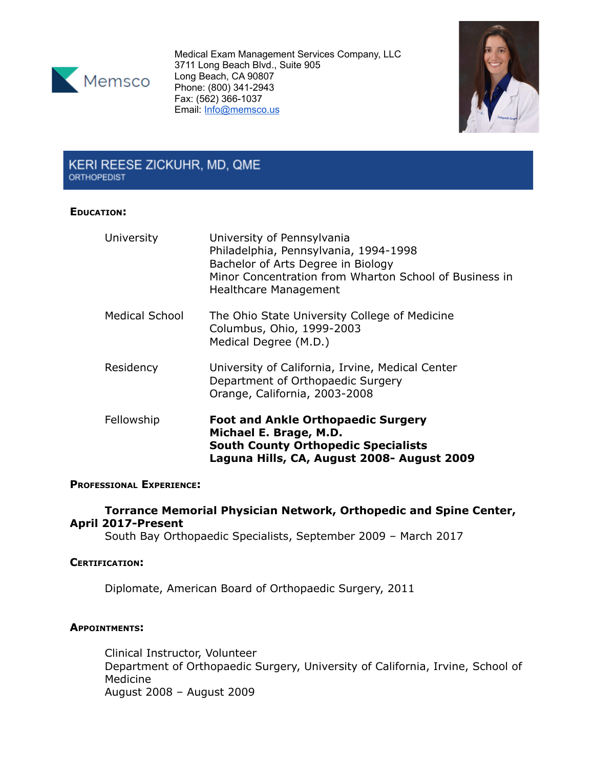

Medical Exam Management Services Company, LLC 3711 Long Beach Blvd., Suite 905 Long Beach, CA 90807 Phone: (800) 341-2943 Fax: (562) 366-1037 Email: [Info@memsco.us](mailto:Info@memsco.us)



# KERI REESE ZICKUHR, MD, QME **ORTHOPEDIST**

## **EDUCATION:**

| University     | University of Pennsylvania<br>Philadelphia, Pennsylvania, 1994-1998<br>Bachelor of Arts Degree in Biology<br>Minor Concentration from Wharton School of Business in<br>Healthcare Management |
|----------------|----------------------------------------------------------------------------------------------------------------------------------------------------------------------------------------------|
| Medical School | The Ohio State University College of Medicine<br>Columbus, Ohio, 1999-2003<br>Medical Degree (M.D.)                                                                                          |
| Residency      | University of California, Irvine, Medical Center<br>Department of Orthopaedic Surgery<br>Orange, California, 2003-2008                                                                       |
| Fellowship     | <b>Foot and Ankle Orthopaedic Surgery</b><br>Michael E. Brage, M.D.<br><b>South County Orthopedic Specialists</b><br>Laguna Hills, CA, August 2008- August 2009                              |

## **PROFESSIONAL EXPERIENCE:**

## **Torrance Memorial Physician Network, Orthopedic and Spine Center, April 2017-Present**

South Bay Orthopaedic Specialists, September 2009 – March 2017

## **CERTIFICATION:**

Diplomate, American Board of Orthopaedic Surgery, 2011

## **APPOINTMENTS:**

Clinical Instructor, Volunteer Department of Orthopaedic Surgery, University of California, Irvine, School of Medicine August 2008 – August 2009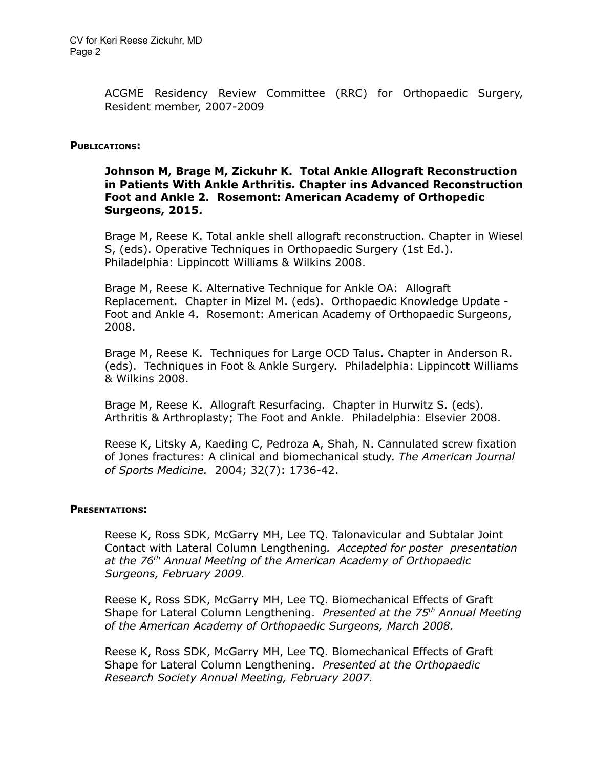ACGME Residency Review Committee (RRC) for Orthopaedic Surgery, Resident member, 2007-2009

#### **PUBLICATIONS:**

## **Johnson M, Brage M, Zickuhr K. Total Ankle Allograft Reconstruction in Patients With Ankle Arthritis. Chapter ins Advanced Reconstruction Foot and Ankle 2. Rosemont: American Academy of Orthopedic Surgeons, 2015.**

Brage M, Reese K. Total ankle shell allograft reconstruction. Chapter in Wiesel S, (eds). Operative Techniques in Orthopaedic Surgery (1st Ed.). Philadelphia: Lippincott Williams & Wilkins 2008.

Brage M, Reese K. Alternative Technique for Ankle OA: Allograft Replacement. Chapter in Mizel M. (eds). Orthopaedic Knowledge Update - Foot and Ankle 4. Rosemont: American Academy of Orthopaedic Surgeons, 2008.

Brage M, Reese K. Techniques for Large OCD Talus. Chapter in Anderson R. (eds). Techniques in Foot & Ankle Surgery. Philadelphia: Lippincott Williams & Wilkins 2008.

Brage M, Reese K. Allograft Resurfacing. Chapter in Hurwitz S. (eds). Arthritis & Arthroplasty; The Foot and Ankle. Philadelphia: Elsevier 2008.

Reese K, Litsky A, Kaeding C, Pedroza A, Shah, N. Cannulated screw fixation of Jones fractures: A clinical and biomechanical study. *The American Journal of Sports Medicine.* 2004; 32(7): 1736-42.

#### **PRESENTATIONS:**

Reese K, Ross SDK, McGarry MH, Lee TQ. Talonavicular and Subtalar Joint Contact with Lateral Column Lengthening*. Accepted for poster presentation at the 76 th Annual Meeting of the American Academy of Orthopaedic Surgeons, February 2009.*

Reese K, Ross SDK, McGarry MH, Lee TQ. Biomechanical Effects of Graft Shape for Lateral Column Lengthening. *Presented at the 75 th Annual Meeting of the American Academy of Orthopaedic Surgeons, March 2008.*

Reese K, Ross SDK, McGarry MH, Lee TQ. Biomechanical Effects of Graft Shape for Lateral Column Lengthening. *Presented at the Orthopaedic Research Society Annual Meeting, February 2007.*